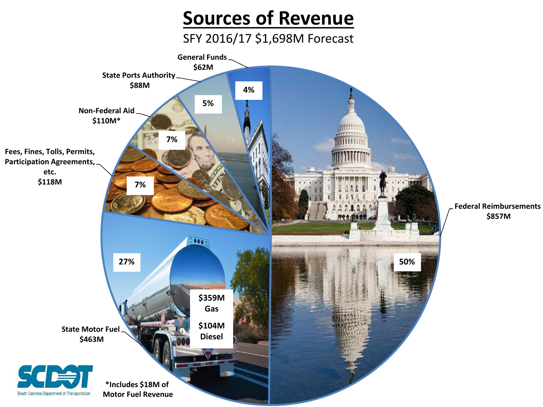#### **Sources of Revenue** SFY 2016/17 \$1,698M Forecast **General Funds \$62M State Ports Authority \$88M 4% 5% Non-Federal Aid \$110M\* AEEEEEEE 7% Fees, Fines, Tolls, Permits, Participation Agreements, etc. \$118M 7% Federal Reimbursements \$857M** ion **27% 50% \$359M Gas \$104M State Motor Fuel Diesel \$463M \*Includes \$18M of Motor Fuel Revenue**South Carolina Department of Transportation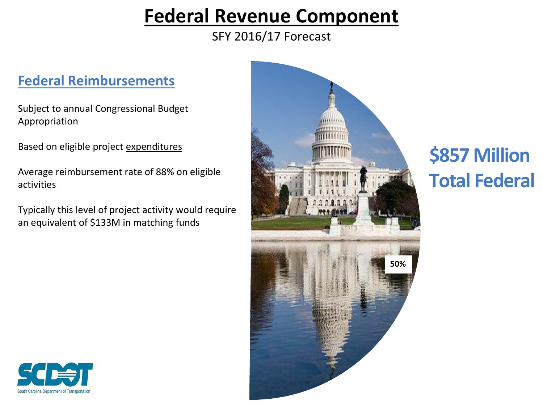### **Federal Revenue Component**

#### SFY 2016/17 Forecast

### **Federal Reimbursements**

Subject to annual Congressional Budget Appropriation

Based on eligible project expenditures

Average reimbursement rate of 88% on eligible activities

Typically this level of project activity would require an equivalent of \$133M in matching funds



### **\$857 Million Total Federal**

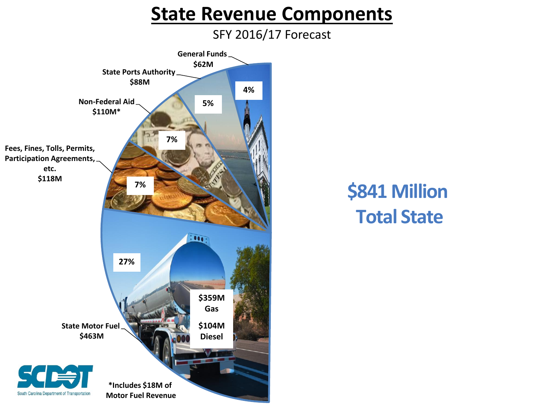SFY 2016/17 Forecast



# **Total State**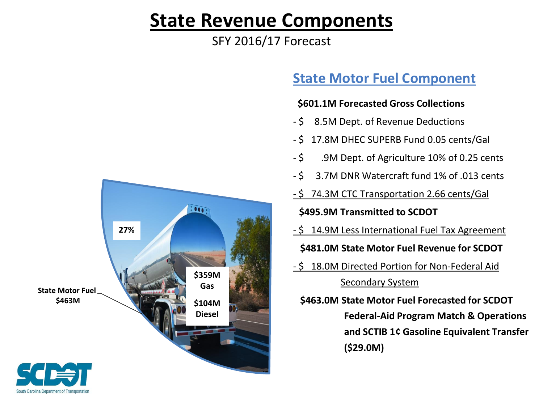### SFY 2016/17 Forecast



South Carolina Department of Transportation

### **State Motor Fuel Component**

#### **\$601.1M Forecasted Gross Collections**

- \$ 8.5M Dept. of Revenue Deductions
- \$ 17.8M DHEC SUPERB Fund 0.05 cents/Gal
- \$ .9M Dept. of Agriculture 10% of 0.25 cents
- \$ 3.7M DNR Watercraft fund 1% of .013 cents
- \$ 74.3M CTC Transportation 2.66 cents/Gal

#### **\$495.9M Transmitted to SCDOT**

- \$ 14.9M Less International Fuel Tax Agreement

#### **\$481.0M State Motor Fuel Revenue for SCDOT**

- \$ 18.0M Directed Portion for Non-Federal Aid Secondary System

 **\$463.0M State Motor Fuel Forecasted for SCDOT Federal-Aid Program Match & Operations and SCTIB 1¢ Gasoline Equivalent Transfer (\$29.0M)**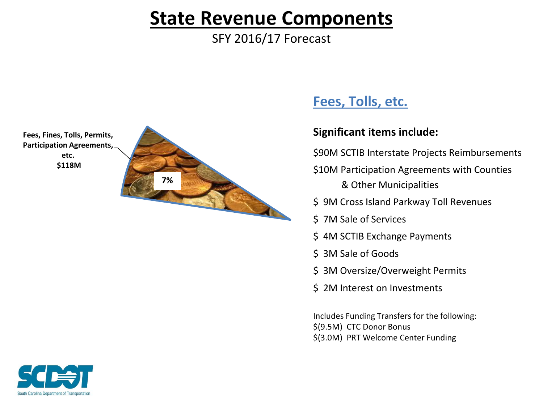SFY 2016/17 Forecast



### **Fees, Tolls, etc.**

#### **Significant items include:**

\$90M SCTIB Interstate Projects Reimbursements

- \$10M Participation Agreements with Counties
	- & Other Municipalities
- \$ 9M Cross Island Parkway Toll Revenues
- \$ 7M Sale of Services
- \$ 4M SCTIB Exchange Payments
- \$ 3M Sale of Goods
- \$ 3M Oversize/Overweight Permits
- \$ 2M Interest on Investments

Includes Funding Transfers for the following: \$(9.5M) CTC Donor Bonus \$(3.0M) PRT Welcome Center Funding

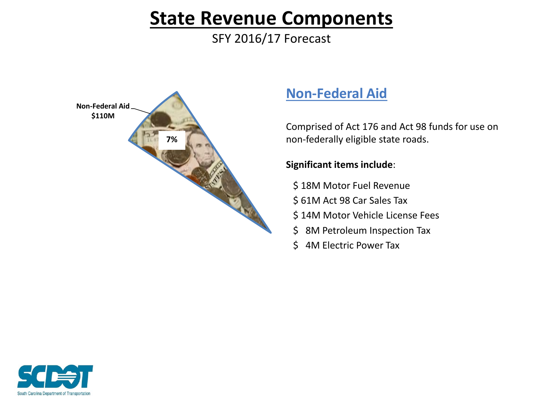#### SFY 2016/17 Forecast



### **Non-Federal Aid**

Comprised of Act 176 and Act 98 funds for use on non-federally eligible state roads.

#### **Significant items include**:

- \$ 18M Motor Fuel Revenue
- \$ 61M Act 98 Car Sales Tax
- \$ 14M Motor Vehicle License Fees
- \$ 8M Petroleum Inspection Tax
- \$ 4M Electric Power Tax

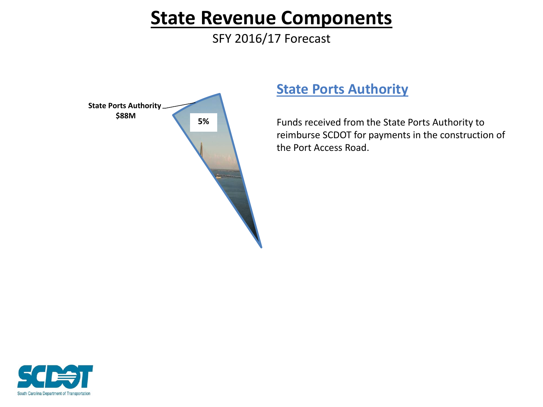#### SFY 2016/17 Forecast



#### **State Ports Authority**

Funds received from the State Ports Authority to reimburse SCDOT for payments in the construction of the Port Access Road.

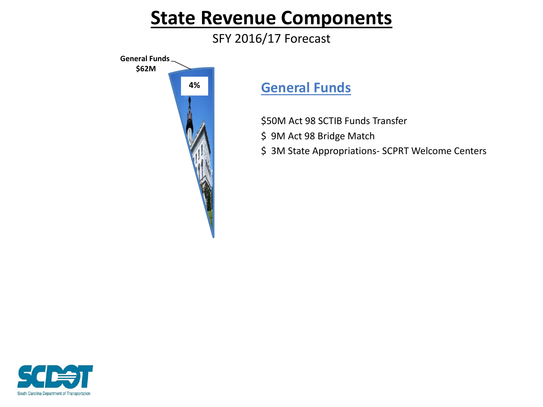#### SFY 2016/17 Forecast



### **General Funds**

\$50M Act 98 SCTIB Funds Transfer

\$ 9M Act 98 Bridge Match

\$ 3M State Appropriations- SCPRT Welcome Centers

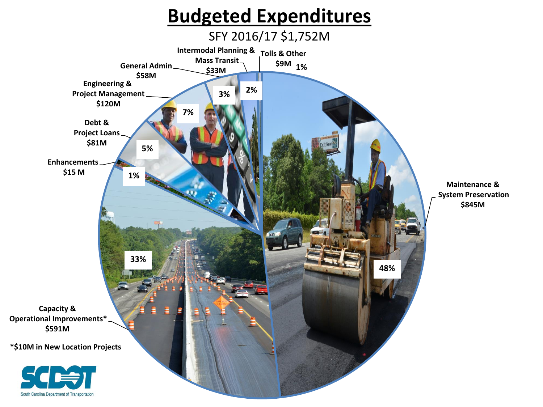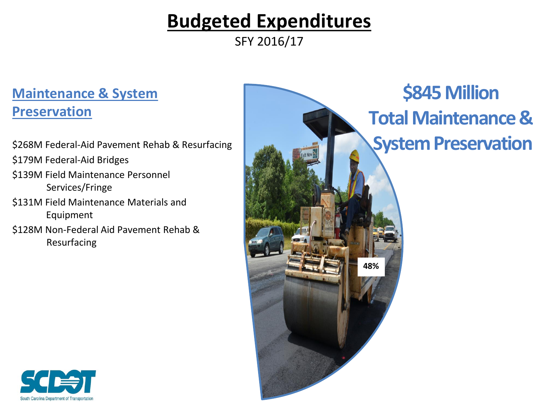### **Budgeted Expenditures**

SFY 2016/17

### **Maintenance & System Preservation**

\$268M Federal-Aid Pavement Rehab & Resurfacing \$179M Federal-Aid Bridges

- \$139M Field Maintenance Personnel Services/Fringe
- \$131M Field Maintenance Materials and Equipment
- \$128M Non-Federal Aid Pavement Rehab & Resurfacing



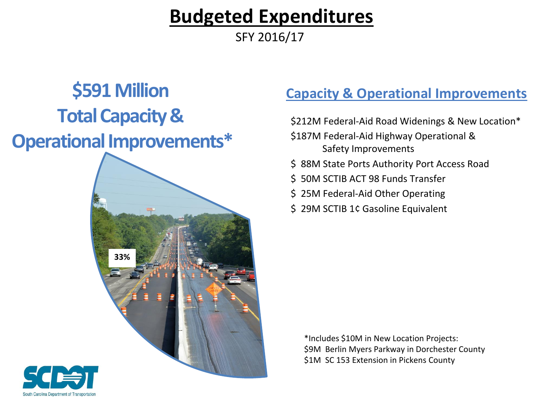### **Budgeted Expenditures**

SFY 2016/17

### **\$591 Million Total Capacity & Operational Improvements\***



## South Carolina Department of Transportation

### **Capacity & Operational Improvements**

\$212M Federal-Aid Road Widenings & New Location\*

- \$187M Federal-Aid Highway Operational & Safety Improvements
- \$88M State Ports Authority Port Access Road
- \$ 50M SCTIB ACT 98 Funds Transfer
- \$ 25M Federal-Aid Other Operating
- \$ 29M SCTIB 1¢ Gasoline Equivalent

\*Includes \$10M in New Location Projects: \$9M Berlin Myers Parkway in Dorchester County \$1M SC 153 Extension in Pickens County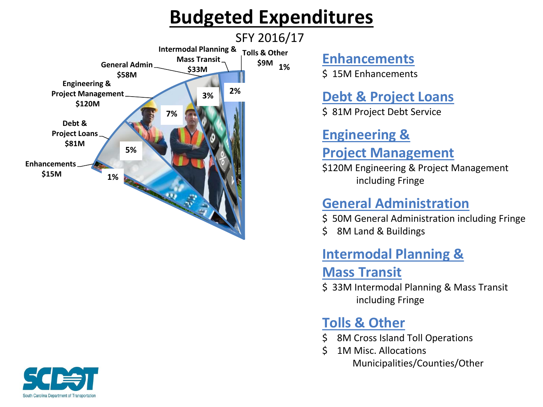### **Budgeted Expenditures**



**Enhancements**

\$ 15M Enhancements

### **Debt & Project Loans**

\$81M Project Debt Service

### **Engineering &**

### **Project Management**

\$120M Engineering & Project Management including Fringe

### **General Administration**

\$ 50M General Administration including Fringe

\$ 8M Land & Buildings

### **Intermodal Planning &**

#### **Mass Transit**

\$ 33M Intermodal Planning & Mass Transit including Fringe

### **Tolls & Other**

- \$ 8M Cross Island Toll Operations
- \$ 1M Misc. Allocations Municipalities/Counties/Other